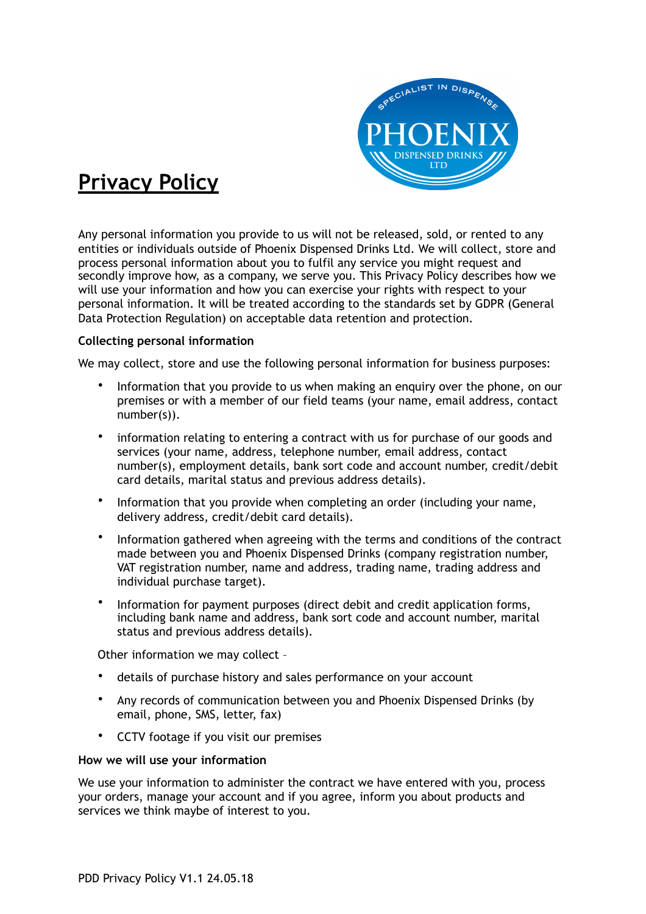

# **Privacy Policy**

Any personal information you provide to us will not be released, sold, or rented to any entities or individuals outside of Phoenix Dispensed Drinks Ltd. We will collect, store and process personal information about you to fulfil any service you might request and secondly improve how, as a company, we serve you. This Privacy Policy describes how we will use your information and how you can exercise your rights with respect to your personal information. It will be treated according to the standards set by GDPR (General Data Protection Regulation) on acceptable data retention and protection.

## **Collecting personal information**

We may collect, store and use the following personal information for business purposes:

- Information that you provide to us when making an enquiry over the phone, on our premises or with a member of our field teams (your name, email address, contact number(s)).
- information relating to entering a contract with us for purchase of our goods and services (your name, address, telephone number, email address, contact number(s), employment details, bank sort code and account number, credit/debit card details, marital status and previous address details).
- Information that you provide when completing an order (including your name, delivery address, credit/debit card details).
- Information gathered when agreeing with the terms and conditions of the contract made between you and Phoenix Dispensed Drinks (company registration number, VAT registration number, name and address, trading name, trading address and individual purchase target).
- Information for payment purposes (direct debit and credit application forms, including bank name and address, bank sort code and account number, marital status and previous address details).

Other information we may collect –

- details of purchase history and sales performance on your account
- Any records of communication between you and Phoenix Dispensed Drinks (by email, phone, SMS, letter, fax)
- CCTV footage if you visit our premises

#### **How we will use your information**

We use your information to administer the contract we have entered with you, process your orders, manage your account and if you agree, inform you about products and services we think maybe of interest to you.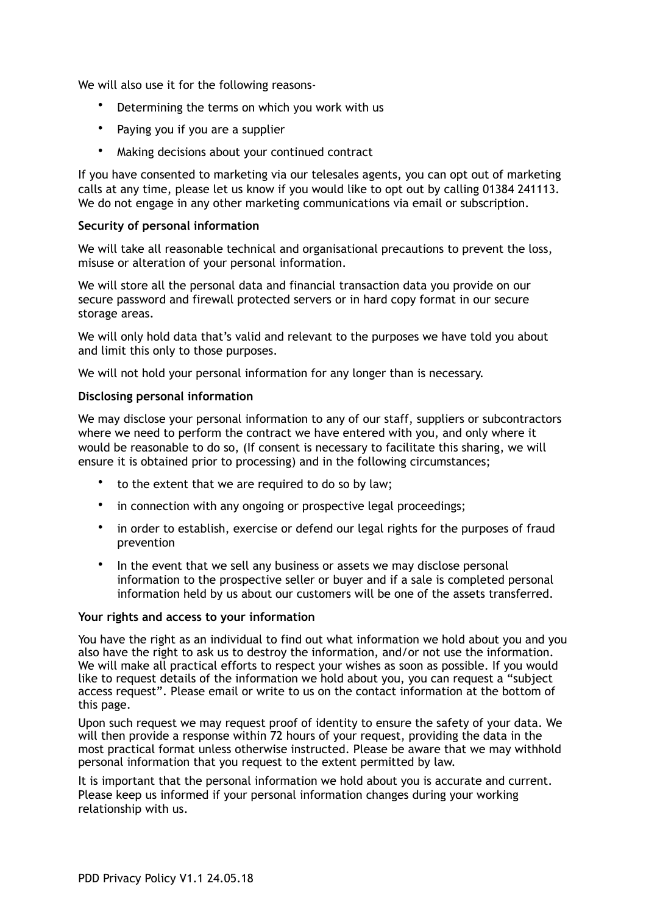We will also use it for the following reasons-

- Determining the terms on which you work with us
- Paying you if you are a supplier
- Making decisions about your continued contract

If you have consented to marketing via our telesales agents, you can opt out of marketing calls at any time, please let us know if you would like to opt out by calling 01384 241113. We do not engage in any other marketing communications via email or subscription.

## **Security of personal information**

We will take all reasonable technical and organisational precautions to prevent the loss, misuse or alteration of your personal information.

We will store all the personal data and financial transaction data you provide on our secure password and firewall protected servers or in hard copy format in our secure storage areas.

We will only hold data that's valid and relevant to the purposes we have told you about and limit this only to those purposes.

We will not hold your personal information for any longer than is necessary.

## **Disclosing personal information**

We may disclose your personal information to any of our staff, suppliers or subcontractors where we need to perform the contract we have entered with you, and only where it would be reasonable to do so, (If consent is necessary to facilitate this sharing, we will ensure it is obtained prior to processing) and in the following circumstances;

- to the extent that we are required to do so by law;
- in connection with any ongoing or prospective legal proceedings;
- in order to establish, exercise or defend our legal rights for the purposes of fraud prevention
- In the event that we sell any business or assets we may disclose personal information to the prospective seller or buyer and if a sale is completed personal information held by us about our customers will be one of the assets transferred.

#### **Your rights and access to your information**

You have the right as an individual to find out what information we hold about you and you also have the right to ask us to destroy the information, and/or not use the information. We will make all practical efforts to respect your wishes as soon as possible. If you would like to request details of the information we hold about you, you can request a "subject access request". Please email or write to us on the contact information at the bottom of this page.

Upon such request we may request proof of identity to ensure the safety of your data. We will then provide a response within 72 hours of your request, providing the data in the most practical format unless otherwise instructed. Please be aware that we may withhold personal information that you request to the extent permitted by law.

It is important that the personal information we hold about you is accurate and current. Please keep us informed if your personal information changes during your working relationship with us.